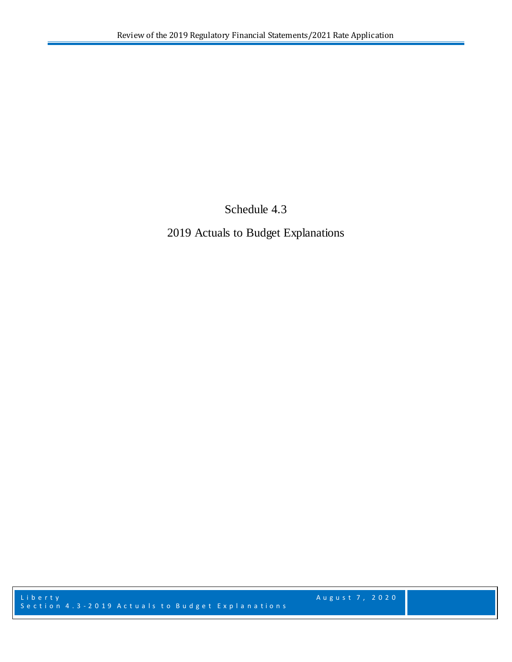Schedule 4.3

2019 Actuals to Budget Explanations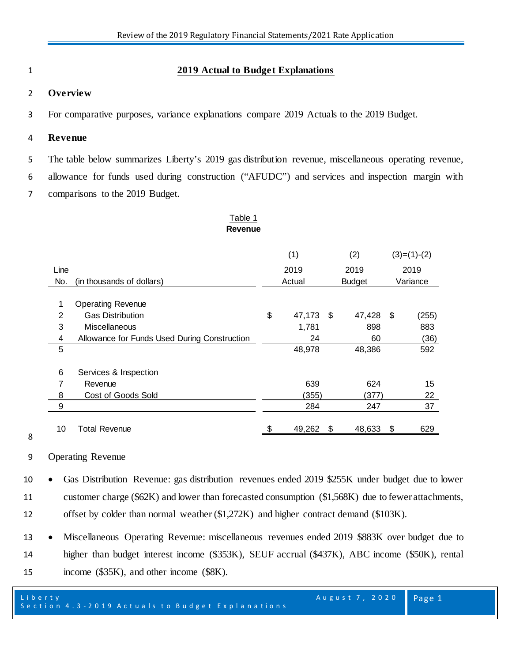## 1 **2019 Actual to Budget Explanations**

#### 2 **Overview**

3 For comparative purposes, variance explanations compare 2019 Actuals to the 2019 Budget.

#### 4 **Revenue**

5 The table below summarizes Liberty's 2019 gas distribution revenue, miscellaneous operating revenue,

6 allowance for funds used during construction ("AFUDC") and services and inspection margin with

7 comparisons to the 2019 Budget.

#### Table 1 **Revenue**

# (1)  $(2)$   $(3)=(1)-(2)$ Line 2019 2019 2019 No. (in thousands of dollars) and the second variance control and property arise variance 1 Operating Revenue 2 Gas Distribution \$ 47,173 \$ 47,428 \$ (255) 3 Miscellaneous 1,781 898 883 4 Allowance for Funds Used During Construction 24 60 (36) 5 48,978 48,386 592 6 Services & Inspection 7 Revenue 15 and 15 and 15 and 16 and 16 and 16 and 16 and 16 and 16 and 16 and 16 and 16 and 16 and 16 and 16 8 Cost of Goods Sold (355) (377) 22 9 284 247 37 10 Total Revenue \$ 49,262 \$ 48,633 \$ 629

8

9 Operating Revenue

10 • Gas Distribution Revenue: gas distribution revenues ended 2019 \$255K under budget due to lower 11 customer charge (\$62K) and lower than forecasted consumption (\$1,568K) due to fewer attachments, 12 offset by colder than normal weather (\$1,272K) and higher contract demand (\$103K).

13 • Miscellaneous Operating Revenue: miscellaneous revenues ended 2019 \$883K over budget due to 14 higher than budget interest income (\$353K), SEUF accrual (\$437K), ABC income (\$50K), rental 15 income (\$35K), and other income (\$8K).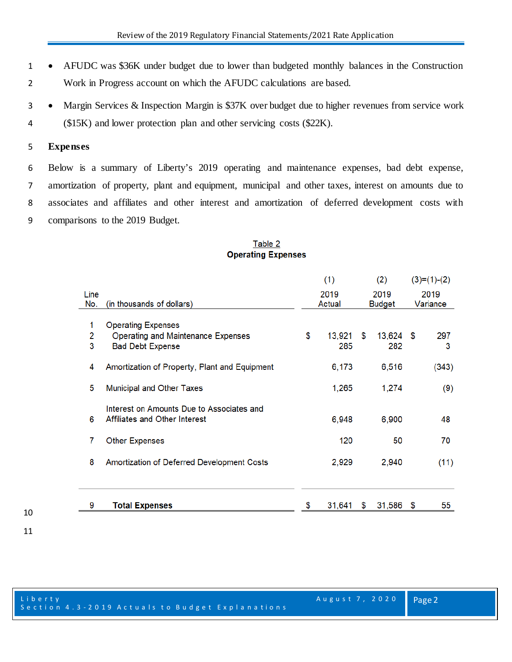- AFUDC was \$36K under budget due to lower than budgeted monthly balances in the Construction Work in Progress account on which the AFUDC calculations are based.
- Margin Services & Inspection Margin is \$37K over budget due to higher revenues from service work (\$15K) and lower protection plan and other servicing costs (\$22K).

#### **Expenses**

 Below is a summary of Liberty's 2019 operating and maintenance expenses, bad debt expense, amortization of property, plant and equipment, municipal and other taxes, interest on amounts due to associates and affiliates and other interest and amortization of deferred development costs with comparisons to the 2019 Budget.

|             |                                                                            | (1)<br>2019<br>Actual |               | (2)<br>2019<br>Budget |                  | $(3)=(1)-(2)$<br>2019<br>Variance |          |
|-------------|----------------------------------------------------------------------------|-----------------------|---------------|-----------------------|------------------|-----------------------------------|----------|
| Line<br>No. | (in thousands of dollars)                                                  |                       |               |                       |                  |                                   |          |
| 1           | <b>Operating Expenses</b>                                                  |                       |               |                       |                  |                                   |          |
| 2<br>3      | <b>Operating and Maintenance Expenses</b><br><b>Bad Debt Expense</b>       | \$                    | 13,921<br>285 | \$                    | 13,624 \$<br>282 |                                   | 297<br>3 |
| 4           | Amortization of Property, Plant and Equipment                              |                       | 6,173         |                       | 6,516            |                                   | (343)    |
| 5           | <b>Municipal and Other Taxes</b>                                           |                       | 1,265         |                       | 1,274            |                                   | (9)      |
| 6           | Interest on Amounts Due to Associates and<br>Affiliates and Other Interest |                       | 6,948         |                       | 6,900            |                                   | 48       |
| 7           | <b>Other Expenses</b>                                                      |                       | 120           |                       | 50               |                                   | 70       |
| 8           | Amortization of Deferred Development Costs                                 |                       | 2,929         |                       | 2,940            |                                   | (11)     |
| 9           | <b>Total Expenses</b>                                                      | S                     | 31,641        | S                     | 31,586           | - \$                              | 55       |
|             |                                                                            |                       |               |                       |                  |                                   |          |

## Table 2 **Operating Expenses**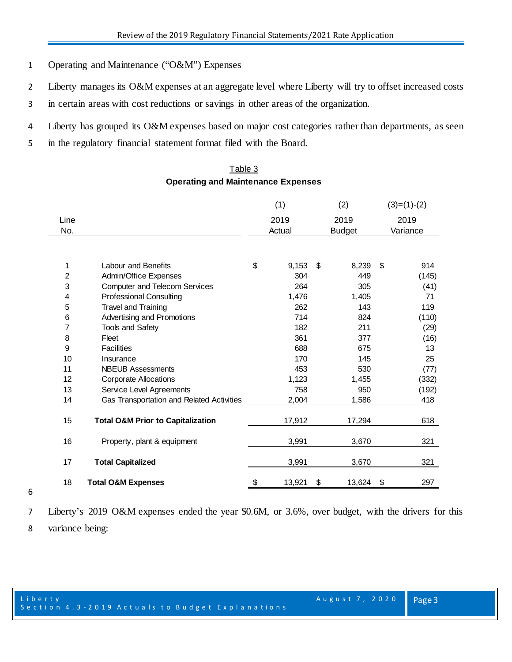## Operating and Maintenance ("O&M") Expenses

- 2 Liberty manages its O&M expenses at an aggregate level where Liberty will try to offset increased costs
- in certain areas with cost reductions or savings in other areas of the organization.
- Liberty has grouped its O&M expenses based on major cost categories rather than departments, as seen
- in the regulatory financial statement format filed with the Board.

## Table 3 **Operating and Maintenance Expenses**

|                |                                              | (1)    |        | (2)  |               | $(3)=(1)-(2)$ |       |
|----------------|----------------------------------------------|--------|--------|------|---------------|---------------|-------|
| Line           |                                              | 2019   |        | 2019 |               | 2019          |       |
| No.            |                                              | Actual |        |      | <b>Budget</b> | Variance      |       |
|                |                                              |        |        |      |               |               |       |
| 1              | Labour and Benefits                          | \$     | 9,153  | \$   | 8,239         | \$            | 914   |
| $\overline{2}$ | Admin/Office Expenses                        |        | 304    |      | 449           |               | (145) |
| 3              | <b>Computer and Telecom Services</b>         |        | 264    |      | 305           |               | (41)  |
| 4              | <b>Professional Consulting</b>               |        | 1,476  |      | 1,405         |               | 71    |
| 5              | <b>Travel and Training</b>                   |        | 262    |      | 143           |               | 119   |
| 6              | Advertising and Promotions                   |        | 714    |      | 824           |               | (110) |
| 7              | <b>Tools and Safety</b>                      |        | 182    |      | 211           |               | (29)  |
| 8              | Fleet                                        |        | 361    |      | 377           |               | (16)  |
| 9              | <b>Facilities</b>                            |        | 688    |      | 675           |               | 13    |
| 10             | Insurance                                    |        | 170    |      | 145           |               | 25    |
| 11             | <b>NBEUB Assessments</b>                     |        | 453    |      | 530           |               | (77)  |
| 12             | <b>Corporate Allocations</b>                 |        | 1,123  |      | 1,455         |               | (332) |
| 13             | Service Level Agreements                     |        | 758    |      | 950           |               | (192) |
| 14             | Gas Transportation and Related Activities    |        | 2,004  |      | 1,586         |               | 418   |
| 15             | <b>Total O&amp;M Prior to Capitalization</b> |        | 17,912 |      | 17,294        |               | 618   |
| 16             | Property, plant & equipment                  |        | 3,991  |      | 3,670         |               | 321   |
| 17             | <b>Total Capitalized</b>                     |        | 3,991  |      | 3,670         |               | 321   |
| 18             | <b>Total O&amp;M Expenses</b>                | \$     | 13,921 | \$   | 13,624 \$     |               | 297   |

Liberty's 2019 O&M expenses ended the year \$0.6M, or 3.6%, over budget, with the drivers for this

variance being: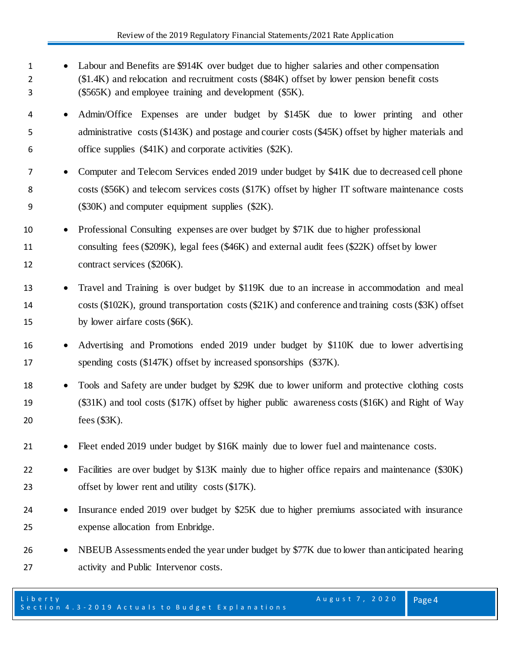- Labour and Benefits are \$914K over budget due to higher salaries and other compensation (\$1.4K) and relocation and recruitment costs (\$84K) offset by lower pension benefit costs (\$565K) and employee training and development (\$5K).
- Admin/Office Expenses are under budget by \$145K due to lower printing and other administrative costs (\$143K) and postage and courier costs (\$45K) offset by higher materials and office supplies (\$41K) and corporate activities (\$2K).
- Computer and Telecom Services ended 2019 under budget by \$41K due to decreased cell phone costs (\$56K) and telecom services costs (\$17K) offset by higher IT software maintenance costs (\$30K) and computer equipment supplies (\$2K).
- Professional Consulting expenses are over budget by \$71K due to higher professional consulting fees (\$209K), legal fees (\$46K) and external audit fees (\$22K) offset by lower contract services (\$206K).
- Travel and Training is over budget by \$119K due to an increase in accommodation and meal costs (\$102K), ground transportation costs (\$21K) and conference and training costs (\$3K) offset 15 by lower airfare costs (\$6K).
- Advertising and Promotions ended 2019 under budget by \$110K due to lower advertising spending costs (\$147K) offset by increased sponsorships (\$37K).
- Tools and Safety are under budget by \$29K due to lower uniform and protective clothing costs (\$31K) and tool costs (\$17K) offset by higher public awareness costs (\$16K) and Right of Way fees (\$3K).
- Fleet ended 2019 under budget by \$16K mainly due to lower fuel and maintenance costs.
- Facilities are over budget by \$13K mainly due to higher office repairs and maintenance (\$30K) 23 offset by lower rent and utility costs (\$17K).
- Insurance ended 2019 over budget by \$25K due to higher premiums associated with insurance expense allocation from Enbridge.
- NBEUB Assessments ended the year under budget by \$77K due to lower than anticipated hearing activity and Public Intervenor costs.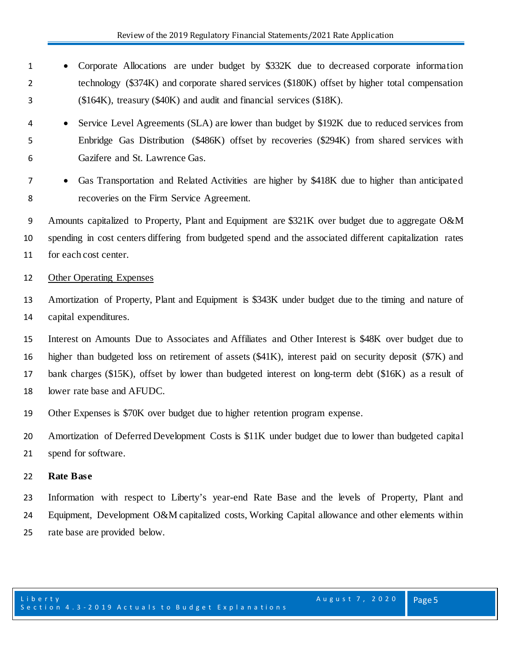- Corporate Allocations are under budget by \$332K due to decreased corporate information technology (\$374K) and corporate shared services (\$180K) offset by higher total compensation (\$164K), treasury (\$40K) and audit and financial services (\$18K).
- Service Level Agreements (SLA) are lower than budget by \$192K due to reduced services from Enbridge Gas Distribution (\$486K) offset by recoveries (\$294K) from shared services with Gazifere and St. Lawrence Gas.
- Gas Transportation and Related Activities are higher by \$418K due to higher than anticipated recoveries on the Firm Service Agreement.
- Amounts capitalized to Property, Plant and Equipment are \$321K over budget due to aggregate O&M spending in cost centers differing from budgeted spend and the associated different capitalization rates for each cost center.

#### Other Operating Expenses

- Amortization of Property, Plant and Equipment is \$343K under budget due to the timing and nature of capital expenditures.
- Interest on Amounts Due to Associates and Affiliates and Other Interest is \$48K over budget due to higher than budgeted loss on retirement of assets (\$41K), interest paid on security deposit (\$7K) and bank charges (\$15K), offset by lower than budgeted interest on long-term debt (\$16K) as a result of lower rate base and AFUDC.
- Other Expenses is \$70K over budget due to higher retention program expense.
- Amortization of Deferred Development Costs is \$11K under budget due to lower than budgeted capital spend for software.

## **Rate Base**

 Information with respect to Liberty's year-end Rate Base and the levels of Property, Plant and Equipment, Development O&M capitalized costs, Working Capital allowance and other elements within rate base are provided below.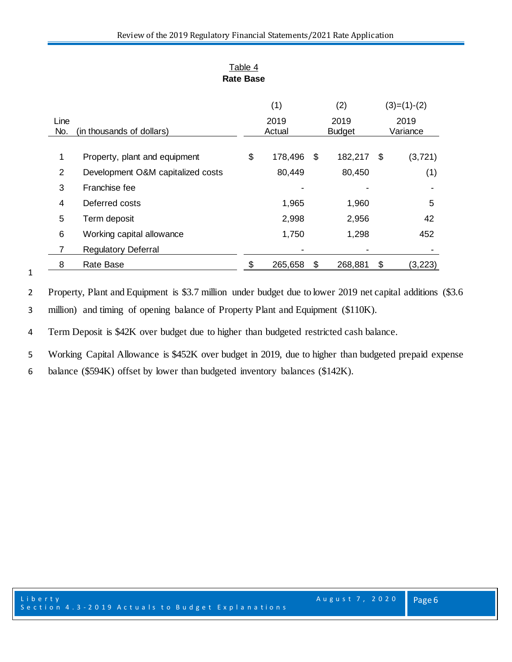| nang pasa |                                   |            |         |               |               |    |          |  |  |
|-----------|-----------------------------------|------------|---------|---------------|---------------|----|----------|--|--|
|           |                                   | (2)<br>(1) |         | $(3)=(1)-(2)$ |               |    |          |  |  |
| Line      |                                   | 2019       |         |               | 2019          |    | 2019     |  |  |
| No.       | (in thousands of dollars)         | Actual     |         |               | <b>Budget</b> |    | Variance |  |  |
|           |                                   |            |         |               |               |    |          |  |  |
| 1         | Property, plant and equipment     | \$         | 178,496 | \$            | 182,217       | \$ | (3, 721) |  |  |
| 2         | Development O&M capitalized costs |            | 80,449  |               | 80,450        |    | (1)      |  |  |
| 3         | Franchise fee                     |            |         |               |               |    |          |  |  |
| 4         | Deferred costs                    |            | 1,965   |               | 1,960         |    | 5        |  |  |
| 5         | Term deposit                      |            | 2,998   |               | 2,956         |    | 42       |  |  |
| 6         | Working capital allowance         |            | 1,750   |               | 1,298         |    | 452      |  |  |
| 7         | <b>Regulatory Deferral</b>        |            |         |               |               |    |          |  |  |
| 8         | Rate Base                         | \$         | 265,658 | \$            | 268,881       | \$ | (3,223)  |  |  |

Table 4 **Rate Base**

Property, Plant and Equipment is \$3.7 million under budget due to lower 2019 net capital additions (\$3.6

million) and timing of opening balance of Property Plant and Equipment (\$110K).

Term Deposit is \$42K over budget due to higher than budgeted restricted cash balance.

Working Capital Allowance is \$452K over budget in 2019, due to higher than budgeted prepaid expense

balance (\$594K) offset by lower than budgeted inventory balances (\$142K).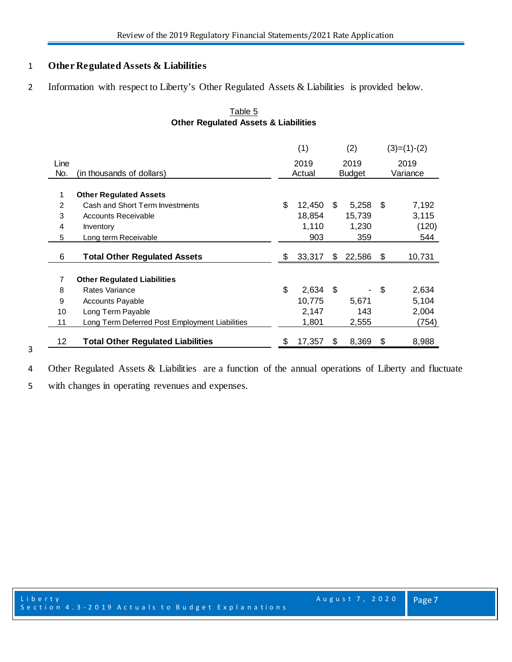## **Other Regulated Assets & Liabilities**

2 Information with respect to Liberty's Other Regulated Assets & Liabilities is provided below.

|                |                                                | (1) |        | (2) |        | $(3)=(1)-(2)$ |          |  |
|----------------|------------------------------------------------|-----|--------|-----|--------|---------------|----------|--|
| Line           |                                                |     | 2019   |     | 2019   |               | 2019     |  |
| No.            | (in thousands of dollars)                      |     | Actual |     | Budget |               | Variance |  |
| 1              | <b>Other Regulated Assets</b>                  |     |        |     |        |               |          |  |
| $\overline{2}$ | Cash and Short Term Investments                | \$  | 12,450 | \$. | 5,258  | \$            | 7,192    |  |
| 3              | <b>Accounts Receivable</b>                     |     | 18,854 |     | 15,739 |               | 3,115    |  |
| 4              | Inventory                                      |     | 1,110  |     | 1,230  |               | (120)    |  |
| 5              | Long term Receivable                           |     | 903    |     | 359    |               | 544      |  |
| 6              | <b>Total Other Regulated Assets</b>            | \$  | 33,317 | \$. | 22,586 | \$            | 10,731   |  |
| $\overline{7}$ | <b>Other Regulated Liabilities</b>             |     |        |     |        |               |          |  |
| 8              | Rates Variance                                 | \$  | 2,634  | \$  |        | \$            | 2,634    |  |
| 9              | <b>Accounts Payable</b>                        |     | 10,775 |     | 5,671  |               | 5,104    |  |
| 10             | Long Term Payable                              |     | 2,147  |     | 143    |               | 2,004    |  |
| 11             | Long Term Deferred Post Employment Liabilities |     | 1,801  |     | 2,555  |               | (754)    |  |
| 12             | <b>Total Other Regulated Liabilities</b>       | \$  | 17,357 | \$  | 8,369  | \$            | 8,988    |  |

## Table 5 **Other Regulated Assets & Liabilities**

Other Regulated Assets & Liabilities are a function of the annual operations of Liberty and fluctuate

with changes in operating revenues and expenses.